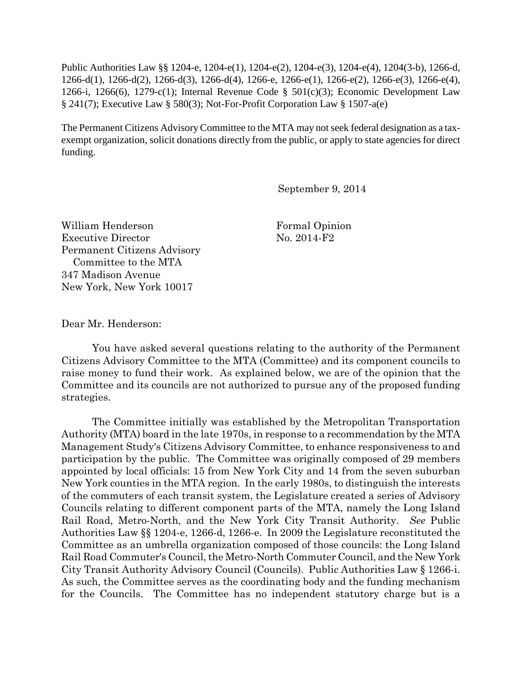Public Authorities Law §§ 1204-e, 1204-e(1), 1204-e(2), 1204-e(3), 1204-e(4), 1204(3-b), 1266-d, 1266-d(1), 1266-d(2), 1266-d(3), 1266-d(4), 1266-e, 1266-e(1), 1266-e(2), 1266-e(3), 1266-e(4), 1266-i, 1266(6), 1279-c(1); Internal Revenue Code § 501(c)(3); Economic Development Law § 241(7); Executive Law § 580(3); Not-For-Profit Corporation Law § 1507-a(e)

The Permanent Citizens Advisory Committee to the MTA may not seek federal designation as a taxexempt organization, solicit donations directly from the public, or apply to state agencies for direct funding.

September 9, 2014

William Henderson **Formal Opinion** Executive Director No. 2014-F2 Permanent Citizens Advisory Committee to the MTA 347 Madison Avenue New York, New York 10017

Dear Mr. Henderson:

You have asked several questions relating to the authority of the Permanent Citizens Advisory Committee to the MTA (Committee) and its component councils to raise money to fund their work. As explained below, we are of the opinion that the Committee and its councils are not authorized to pursue any of the proposed funding strategies.

The Committee initially was established by the Metropolitan Transportation Authority (MTA) board in the late 1970s, in response to a recommendation by the MTA Management Study's Citizens Advisory Committee, to enhance responsiveness to and participation by the public. The Committee was originally composed of 29 members appointed by local officials: 15 from New York City and 14 from the seven suburban New York counties in the MTA region. In the early 1980s, to distinguish the interests of the commuters of each transit system, the Legislature created a series of Advisory Councils relating to different component parts of the MTA, namely the Long Island Rail Road, Metro-North, and the New York City Transit Authority. *See* Public Authorities Law §§ 1204-e, 1266-d, 1266-e. In 2009 the Legislature reconstituted the Committee as an umbrella organization composed of those councils: the Long Island Rail Road Commuter's Council, the Metro-North Commuter Council, and the New York City Transit Authority Advisory Council (Councils). Public Authorities Law § 1266-i. As such, the Committee serves as the coordinating body and the funding mechanism for the Councils. The Committee has no independent statutory charge but is a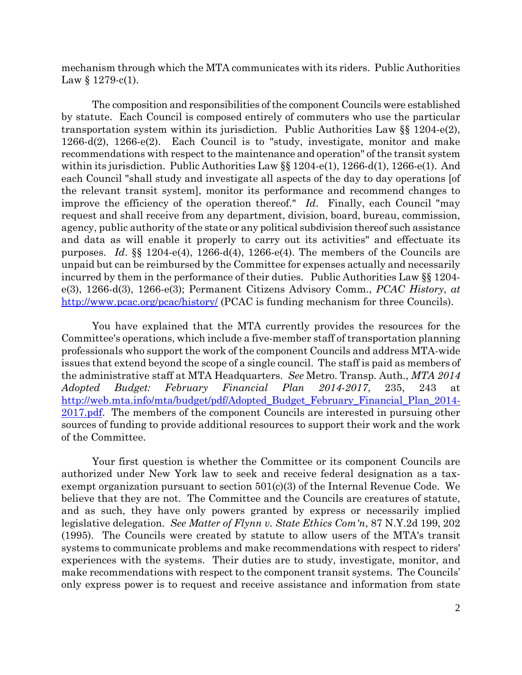mechanism through which the MTA communicates with its riders. Public Authorities Law  $§ 1279-c(1)$ .

The composition and responsibilities of the component Councils were established by statute. Each Council is composed entirely of commuters who use the particular transportation system within its jurisdiction. Public Authorities Law  $\S$  1204-e(2), 1266-d(2), 1266-e(2). Each Council is to "study, investigate, monitor and make recommendations with respect to the maintenance and operation" of the transit system within its jurisdiction. Public Authorities Law §§ 1204-e(1), 1266-d(1), 1266-e(1). And each Council "shall study and investigate all aspects of the day to day operations [of the relevant transit system], monitor its performance and recommend changes to improve the efficiency of the operation thereof." *Id*. Finally, each Council "may request and shall receive from any department, division, board, bureau, commission, agency, public authority of the state or any political subdivision thereof such assistance and data as will enable it properly to carry out its activities" and effectuate its purposes. *Id*. §§ 1204-e(4), 1266-d(4), 1266-e(4). The members of the Councils are unpaid but can be reimbursed by the Committee for expenses actually and necessarily incurred by them in the performance of their duties. Public Authorities Law §§ 1204 e(3), 1266-d(3), 1266-e(3); Permanent Citizens Advisory Comm., *PCAC History*, *at* <http://www.pcac.org/pcac/history/> (PCAC is funding mechanism for three Councils).

You have explained that the MTA currently provides the resources for the Committee's operations, which include a five-member staff of transportation planning professionals who support the work of the component Councils and address MTA-wide issues that extend beyond the scope of a single council. The staff is paid as members of the administrative staff at MTA Headquarters. *See* Metro. Transp. Auth., *MTA 2014 Adopted Budget: February Financial Plan 2014-2017*, 235, 243 at [http://web.mta.info/mta/budget/pdf/Adopted\\_Budget\\_February\\_Financial\\_Plan\\_2014-](http://web.mta.info/mta/budget/pdf/Adopted_Budget_February_Financial_Plan_2014-2017.pdf) [2017.pdf.](http://web.mta.info/mta/budget/pdf/Adopted_Budget_February_Financial_Plan_2014-2017.pdf) The members of the component Councils are interested in pursuing other sources of funding to provide additional resources to support their work and the work of the Committee.

Your first question is whether the Committee or its component Councils are authorized under New York law to seek and receive federal designation as a taxexempt organization pursuant to section  $501(c)(3)$  of the Internal Revenue Code. We believe that they are not. The Committee and the Councils are creatures of statute, and as such, they have only powers granted by express or necessarily implied legislative delegation. *See Matter of Flynn v. State Ethics Com'n*, 87 N.Y.2d 199, 202 (1995). The Councils were created by statute to allow users of the MTA's transit systems to communicate problems and make recommendations with respect to riders' experiences with the systems. Their duties are to study, investigate, monitor, and make recommendations with respect to the component transit systems. The Councils' only express power is to request and receive assistance and information from state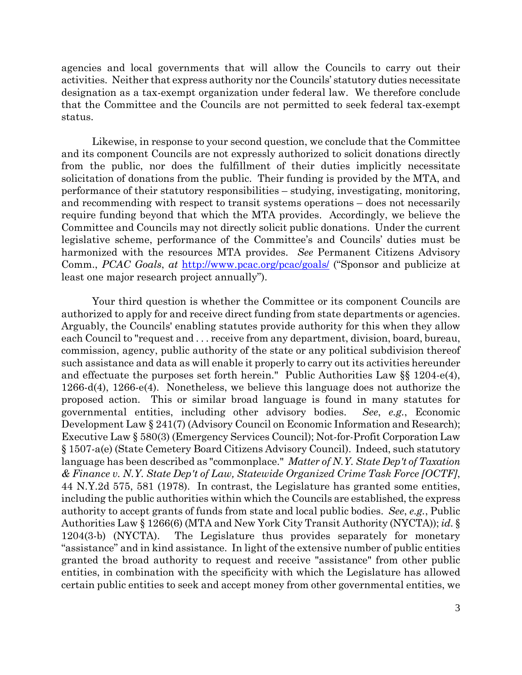agencies and local governments that will allow the Councils to carry out their activities. Neither that express authority nor the Councils' statutory duties necessitate designation as a tax-exempt organization under federal law. We therefore conclude that the Committee and the Councils are not permitted to seek federal tax-exempt status.

Likewise, in response to your second question, we conclude that the Committee and its component Councils are not expressly authorized to solicit donations directly from the public, nor does the fulfillment of their duties implicitly necessitate solicitation of donations from the public. Their funding is provided by the MTA, and performance of their statutory responsibilities – studying, investigating, monitoring, and recommending with respect to transit systems operations – does not necessarily require funding beyond that which the MTA provides. Accordingly, we believe the Committee and Councils may not directly solicit public donations. Under the current legislative scheme, performance of the Committee's and Councils' duties must be harmonized with the resources MTA provides. *See* Permanent Citizens Advisory Comm., *PCAC Goals*, *at* <http://www.pcac.org/pcac/goals/> ("Sponsor and publicize at least one major research project annually").

Your third question is whether the Committee or its component Councils are authorized to apply for and receive direct funding from state departments or agencies. Arguably, the Councils' enabling statutes provide authority for this when they allow each Council to "request and . . . receive from any department, division, board, bureau, commission, agency, public authority of the state or any political subdivision thereof such assistance and data as will enable it properly to carry out its activities hereunder and effectuate the purposes set forth herein." Public Authorities Law §§ 1204-e(4), 1266-d(4), 1266-e(4). Nonetheless, we believe this language does not authorize the proposed action. This or similar broad language is found in many statutes for governmental entities, including other advisory bodies. *See*, *e.g.*, Economic Development Law § 241(7) (Advisory Council on Economic Information and Research); Executive Law § 580(3) (Emergency Services Council); Not-for-Profit Corporation Law § 1507-a(e) (State Cemetery Board Citizens Advisory Council). Indeed, such statutory language has been described as "commonplace." *Matter of N.Y. State Dep't of Taxation & Finance v. N.Y. State Dep't of Law, Statewide Organized Crime Task Force [OCTF]*, 44 N.Y.2d 575, 581 (1978). In contrast, the Legislature has granted some entities, including the public authorities within which the Councils are established, the express authority to accept grants of funds from state and local public bodies. *See*, *e.g.*, Public Authorities Law § 1266(6) (MTA and New York City Transit Authority (NYCTA)); *id*. § 1204(3-b) (NYCTA). The Legislature thus provides separately for monetary "assistance" and in kind assistance. In light of the extensive number of public entities granted the broad authority to request and receive "assistance" from other public entities, in combination with the specificity with which the Legislature has allowed certain public entities to seek and accept money from other governmental entities, we